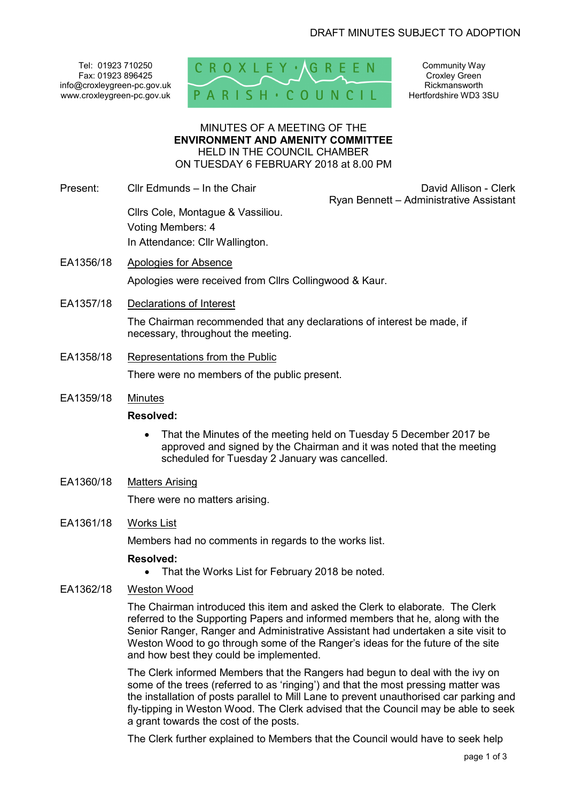Tel: 01923 710250 Fax: 01923 896425 info@croxleygreen-pc.gov.uk www.croxleygreen-pc.gov.uk



Community Way Croxley Green Rickmansworth Hertfordshire WD3 3SU

#### MINUTES OF A MEETING OF THE **ENVIRONMENT AND AMENITY COMMITTEE** HELD IN THE COUNCIL CHAMBER ON TUESDAY 6 FEBRUARY 2018 at 8.00 PM

Present: Cllr Edmunds – In the Chair **David Allison** - Clerk

Ryan Bennett – Administrative Assistant

 Cllrs Cole, Montague & Vassiliou. Voting Members: 4 In Attendance: Cllr Wallington.

- EA1356/18 Apologies for Absence Apologies were received from Cllrs Collingwood & Kaur.
- EA1357/18 Declarations of Interest

The Chairman recommended that any declarations of interest be made, if necessary, throughout the meeting.

EA1358/18 Representations from the Public

There were no members of the public present.

EA1359/18 Minutes

### **Resolved:**

- That the Minutes of the meeting held on Tuesday 5 December 2017 be approved and signed by the Chairman and it was noted that the meeting scheduled for Tuesday 2 January was cancelled.
- EA1360/18 Matters Arising

There were no matters arising.

EA1361/18 Works List

Members had no comments in regards to the works list.

## **Resolved:**

- That the Works List for February 2018 be noted.
- EA1362/18 Weston Wood

The Chairman introduced this item and asked the Clerk to elaborate. The Clerk referred to the Supporting Papers and informed members that he, along with the Senior Ranger, Ranger and Administrative Assistant had undertaken a site visit to Weston Wood to go through some of the Ranger's ideas for the future of the site and how best they could be implemented.

The Clerk informed Members that the Rangers had begun to deal with the ivy on some of the trees (referred to as 'ringing') and that the most pressing matter was the installation of posts parallel to Mill Lane to prevent unauthorised car parking and fly-tipping in Weston Wood. The Clerk advised that the Council may be able to seek a grant towards the cost of the posts.

The Clerk further explained to Members that the Council would have to seek help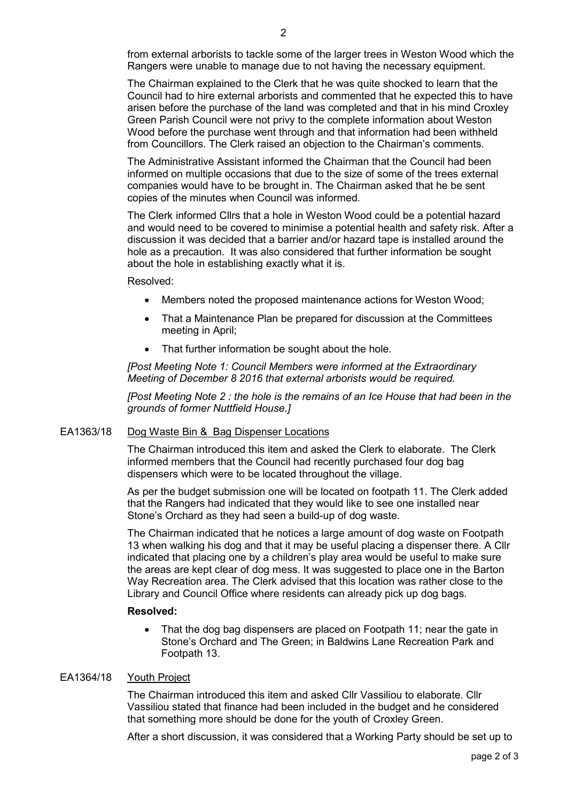from external arborists to tackle some of the larger trees in Weston Wood which the Rangers were unable to manage due to not having the necessary equipment.

The Chairman explained to the Clerk that he was quite shocked to learn that the Council had to hire external arborists and commented that he expected this to have arisen before the purchase of the land was completed and that in his mind Croxley Green Parish Council were not privy to the complete information about Weston Wood before the purchase went through and that information had been withheld from Councillors. The Clerk raised an objection to the Chairman's comments.

The Administrative Assistant informed the Chairman that the Council had been informed on multiple occasions that due to the size of some of the trees external companies would have to be brought in. The Chairman asked that he be sent copies of the minutes when Council was informed.

The Clerk informed Cllrs that a hole in Weston Wood could be a potential hazard and would need to be covered to minimise a potential health and safety risk. After a discussion it was decided that a barrier and/or hazard tape is installed around the hole as a precaution. It was also considered that further information be sought about the hole in establishing exactly what it is.

Resolved:

- Members noted the proposed maintenance actions for Weston Wood;
- That a Maintenance Plan be prepared for discussion at the Committees meeting in April;
- That further information be sought about the hole.

*[Post Meeting Note 1: Council Members were informed at the Extraordinary Meeting of December 8 2016 that external arborists would be required.* 

*[Post Meeting Note 2 : the hole is the remains of an Ice House that had been in the grounds of former Nuttfield House.]* 

## EA1363/18 Dog Waste Bin & Bag Dispenser Locations

The Chairman introduced this item and asked the Clerk to elaborate. The Clerk informed members that the Council had recently purchased four dog bag dispensers which were to be located throughout the village.

As per the budget submission one will be located on footpath 11. The Clerk added that the Rangers had indicated that they would like to see one installed near Stone's Orchard as they had seen a build-up of dog waste.

The Chairman indicated that he notices a large amount of dog waste on Footpath 13 when walking his dog and that it may be useful placing a dispenser there. A Cllr indicated that placing one by a children's play area would be useful to make sure the areas are kept clear of dog mess. It was suggested to place one in the Barton Way Recreation area. The Clerk advised that this location was rather close to the Library and Council Office where residents can already pick up dog bags.

### **Resolved:**

 That the dog bag dispensers are placed on Footpath 11; near the gate in Stone's Orchard and The Green; in Baldwins Lane Recreation Park and Footpath 13.

## EA1364/18 Youth Project

The Chairman introduced this item and asked Cllr Vassiliou to elaborate. Cllr Vassiliou stated that finance had been included in the budget and he considered that something more should be done for the youth of Croxley Green.

After a short discussion, it was considered that a Working Party should be set up to